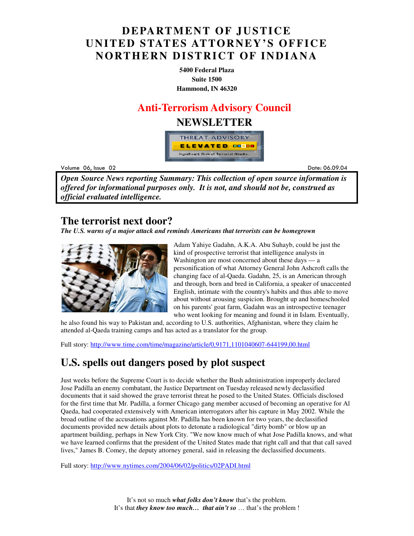## **DEPARTMENT OF JUSTICE UNITED STATES ATTORNEY'S OFFICE NORTHERN DISTRICT OF INDIANA**

**5400 Federal Plaza Suite 1500 Hammond, IN 46320**

### **Anti-Terrorism Advisory Council**

### **NEWSLETTER**



Volume 06

example to the control of the control of the control of the control of the control of the control of the control of the control of the control of the control of the control of the control of the control of the control of t Date: 06.09.04

*Open Source News reporting Summary: This collection of open source information is offered for informational purposes only. It is not, and should not be, construed as official evaluated intelligence.*

### **The terrorist next door?**

*The U.S. warns of a major attack and reminds Americans that terrorists can be homegrown*



Adam Yahiye Gadahn, A.K.A. Abu Suhayb, could be just the kind of prospective terrorist that intelligence analysts in Washington are most concerned about these days — a personification of what Attorney General John Ashcroft calls the changing face of al-Qaeda. Gadahn, 25, is an American through and through, born and bred in California, a speaker of unaccented English, intimate with the country's habits and thus able to move about without arousing suspicion. Brought up and homeschooled on his parents' goat farm, Gadahn was an introspective teenager who went looking for meaning and found it in Islam. Eventually,

he also found his way to Pakistan and, according to U.S. authorities, Afghanistan, where they claim he attended al-Qaeda training camps and has acted as a translator for the group.

Full story: http://www.time.com/time/magazine/article/0,9171,1101040607-644199,00.html

## **U.S. spells out dangers posed by plot suspect**

Just weeks before the Supreme Court is to decide whether the Bush administration improperly declared Jose Padilla an enemy combatant, the Justice Department on Tuesday released newly declassified documents that it said showed the grave terrorist threat he posed to the United States. Officials disclosed for the first time that Mr. Padilla, a former Chicago gang member accused of becoming an operative for Al Qaeda, had cooperated extensively with American interrogators after his capture in May 2002. While the broad outline of the accusations against Mr. Padilla has been known for two years, the declassified documents provided new details about plots to detonate a radiological "dirty bomb" or blow up an apartment building, perhaps in New York City. "We now know much of what Jose Padilla knows, and what we have learned confirms that the president of the United States made that right call and that that call saved lives," James B. Comey, the deputy attorney general, said in releasing the declassified documents.

Full story: http://www.nytimes.com/2004/06/02/politics/02PADI.html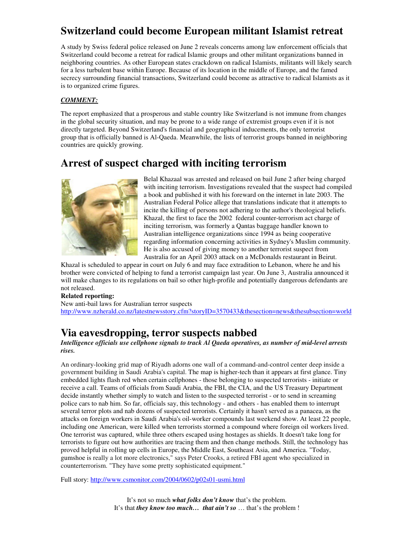## **Switzerland could become European militant Islamist retreat**

A study by Swiss federal police released on June 2 reveals concerns among law enforcement officials that Switzerland could become a retreat for radical Islamic groups and other militant organizations banned in neighboring countries. As other European states crackdown on radical Islamists, militants will likely search for a less turbulent base within Europe. Because of its location in the middle of Europe, and the famed secrecy surrounding financial transactions, Switzerland could become as attractive to radical Islamists as it is to organized crime figures.

#### *COMMENT:*

The report emphasized that a prosperous and stable country like Switzerland is not immune from changes in the global security situation, and may be prone to a wide range of extremist groups even if it is not directly targeted. Beyond Switzerland's financial and geographical inducements, the only terrorist group that is officially banned is Al-Qaeda. Meanwhile, the lists of terrorist groups banned in neighboring countries are quickly growing.

## **Arrest of suspect charged with inciting terrorism**



Belal Khazaal was arrested and released on bail June 2 after being charged with inciting terrorism. Investigations revealed that the suspect had compiled a book and published it with his foreward on the internet in late 2003. The Australian Federal Police allege that translations indicate that it attempts to incite the killing of persons not adhering to the author's theological beliefs. Khazal, the first to face the 2002 federal counter-terrorism act charge of inciting terrorism, was formerly a Qantas baggage handler known to Australian intelligence organizations since 1994 as being cooperative regarding information concerning activities in Sydney's Muslim community. He is also accused of giving money to another terrorist suspect from Australia for an April 2003 attack on a McDonalds restaurant in Beirut.

Khazal is scheduled to appear in court on July 6 and may face extradition to Lebanon, where he and his brother were convicted of helping to fund a terrorist campaign last year. On June 3, Australia announced it will make changes to its regulations on bail so other high-profile and potentially dangerous defendants are not released.

#### **Related reporting:**

New anti-bail laws for Australian terror suspects http://www.nzherald.co.nz/latestnewsstory.cfm?storyID=3570433&thesection=news&thesubsection=world

## **Via eavesdropping, terror suspects nabbed**

*Intelligence officials use cellphone signals to track Al Qaeda operatives, as number of mid-level arrests rises.*

An ordinary-looking grid map of Riyadh adorns one wall of a command-and-control center deep inside a government building in Saudi Arabia's capital. The map is higher-tech than it appears at first glance. Tiny embedded lights flash red when certain cellphones - those belonging to suspected terrorists - initiate or receive a call. Teams of officials from Saudi Arabia, the FBI, the CIA, and the US Treasury Department decide instantly whether simply to watch and listen to the suspected terrorist - or to send in screaming police cars to nab him. So far, officials say, this technology - and others - has enabled them to interrupt several terror plots and nab dozens of suspected terrorists. Certainly it hasn't served as a panacea, as the attacks on foreign workers in Saudi Arabia's oil-worker compounds last weekend show. At least 22 people, including one American, were killed when terrorists stormed a compound where foreign oil workers lived. One terrorist was captured, while three others escaped using hostages as shields. It doesn't take long for terrorists to figure out how authorities are tracing them and then change methods. Still, the technology has proved helpful in rolling up cells in Europe, the Middle East, Southeast Asia, and America. "Today, gumshoe is really a lot more electronics," says Peter Crooks, a retired FBI agent who specialized in counterterrorism. "They have some pretty sophisticated equipment."

Full story: http://www.csmonitor.com/2004/0602/p02s01-usmi.html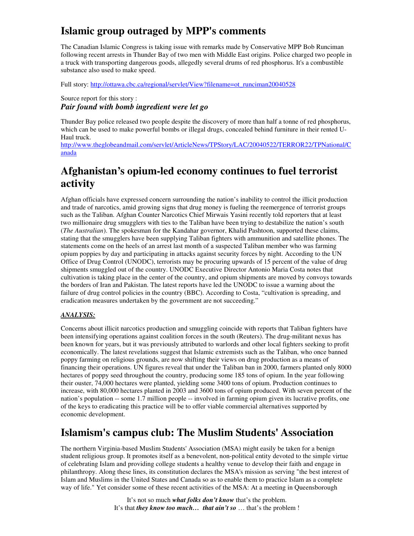## **Islamic group outraged by MPP's comments**

The Canadian Islamic Congress is taking issue with remarks made by Conservative MPP Bob Runciman following recent arrests in Thunder Bay of two men with Middle East origins. Police charged two people in a truck with transporting dangerous goods, allegedly several drums of red phosphorus. It's a combustible substance also used to make speed.

Full story: http://ottawa.cbc.ca/regional/servlet/View?filename=ot\_runciman20040528

Source report for this story : *Pair found with bomb ingredient were let go* 

Thunder Bay police released two people despite the discovery of more than half a tonne of red phosphorus, which can be used to make powerful bombs or illegal drugs, concealed behind furniture in their rented U-Haul truck.

http://www.theglobeandmail.com/servlet/ArticleNews/TPStory/LAC/20040522/TERROR22/TPNational/C anada

## **Afghanistan's opium-led economy continues to fuel terrorist activity**

Afghan officials have expressed concern surrounding the nation's inability to control the illicit production and trade of narcotics, amid growing signs that drug money is fueling the reemergence of terrorist groups such as the Taliban. Afghan Counter Narcotics Chief Mirwais Yasini recently told reporters that at least two millionaire drug smugglers with ties to the Taliban have been trying to destabilize the nation's south (*The Australian*). The spokesman for the Kandahar governor, Khalid Pashtoon, supported these claims, stating that the smugglers have been supplying Taliban fighters with ammunition and satellite phones. The statements come on the heels of an arrest last month of a suspected Taliban member who was farming opium poppies by day and participating in attacks against security forces by night. According to the UN Office of Drug Control (UNODC), terrorists may be procuring upwards of 15 percent of the value of drug shipments smuggled out of the country. UNODC Executive Director Antonio Maria Costa notes that cultivation is taking place in the center of the country, and opium shipments are moved by convoys towards the borders of Iran and Pakistan. The latest reports have led the UNODC to issue a warning about the failure of drug control policies in the country (BBC). According to Costa, "cultivation is spreading, and eradication measures undertaken by the government are not succeeding."

#### *ANALYSIS:*

Concerns about illicit narcotics production and smuggling coincide with reports that Taliban fighters have been intensifying operations against coalition forces in the south (Reuters). The drug-militant nexus has been known for years, but it was previously attributed to warlords and other local fighters seeking to profit economically. The latest revelations suggest that Islamic extremists such as the Taliban, who once banned poppy farming on religious grounds, are now shifting their views on drug production as a means of financing their operations. UN figures reveal that under the Taliban ban in 2000, farmers planted only 8000 hectares of poppy seed throughout the country, producing some 185 tons of opium. In the year following their ouster, 74,000 hectares were planted, yielding some 3400 tons of opium. Production continues to increase, with 80,000 hectares planted in 2003 and 3600 tons of opium produced. With seven percent of the nation's population -- some 1.7 million people -- involved in farming opium given its lucrative profits, one of the keys to eradicating this practice will be to offer viable commercial alternatives supported by economic development.

## **Islamism's campus club: The Muslim Students' Association**

The northern Virginia-based Muslim Students' Association (MSA) might easily be taken for a benign student religious group. It promotes itself as a benevolent, non-political entity devoted to the simple virtue of celebrating Islam and providing college students a healthy venue to develop their faith and engage in philanthropy. Along these lines, its constitution declares the MSA's mission as serving "the best interest of Islam and Muslims in the United States and Canada so as to enable them to practice Islam as a complete way of life." Yet consider some of these recent activities of the MSA: At a meeting in Queensborough

> It's not so much *what folks don't know* that's the problem. It's that *they know too much… that ain't so* … that's the problem !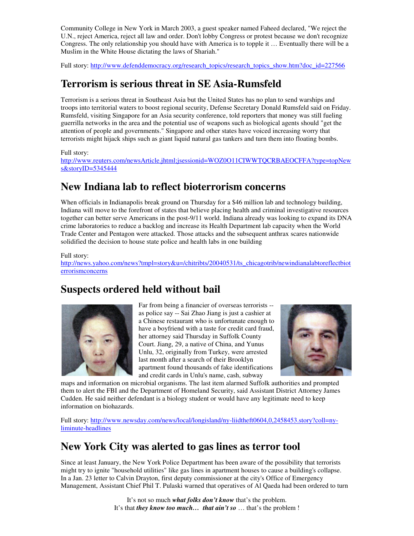Community College in New York in March 2003, a guest speaker named Faheed declared, "We reject the U.N., reject America, reject all law and order. Don't lobby Congress or protest because we don't recognize Congress. The only relationship you should have with America is to topple it … Eventually there will be a Muslim in the White House dictating the laws of Shariah."

Full story: http://www.defenddemocracy.org/research\_topics/research\_topics\_show.htm?doc\_id=227566

## **Terrorism is serious threat in SE Asia-Rumsfeld**

Terrorism is a serious threat in Southeast Asia but the United States has no plan to send warships and troops into territorial waters to boost regional security, Defense Secretary Donald Rumsfeld said on Friday. Rumsfeld, visiting Singapore for an Asia security conference, told reporters that money was still fueling guerrilla networks in the area and the potential use of weapons such as biological agents should "get the attention of people and governments." Singapore and other states have voiced increasing worry that terrorists might hijack ships such as giant liquid natural gas tankers and turn them into floating bombs.

#### Full story:

http://www.reuters.com/newsArticle.jhtml;jsessionid=WOZ0O11CIWWTQCRBAEOCFFA?type=topNew s&storyID=5345444

## **New Indiana lab to reflect bioterrorism concerns**

When officials in Indianapolis break ground on Thursday for a \$46 million lab and technology building, Indiana will move to the forefront of states that believe placing health and criminal investigative resources together can better serve Americans in the post-9/11 world. Indiana already was looking to expand its DNA crime laboratories to reduce a backlog and increase its Health Department lab capacity when the World Trade Center and Pentagon were attacked. Those attacks and the subsequent anthrax scares nationwide solidified the decision to house state police and health labs in one building

#### Full story:

http://news.yahoo.com/news?tmpl=story&u=/chitribts/20040531/ts\_chicagotrib/newindianalabtoreflectbiot errorismconcerns

## **Suspects ordered held without bail**



Far from being a financier of overseas terrorists - as police say -- Sai Zhao Jiang is just a cashier at a Chinese restaurant who is unfortunate enough to have a boyfriend with a taste for credit card fraud, her attorney said Thursday in Suffolk County Court. Jiang, 29, a native of China, and Yunus Unlu, 32, originally from Turkey, were arrested last month after a search of their Brooklyn apartment found thousands of fake identifications and credit cards in Unlu's name, cash, subway



maps and information on microbial organisms. The last item alarmed Suffolk authorities and prompted them to alert the FBI and the Department of Homeland Security, said Assistant District Attorney James Cudden. He said neither defendant is a biology student or would have any legitimate need to keep information on biohazards.

Full story: http://www.newsday.com/news/local/longisland/ny-liidtheft0604,0,2458453.story?coll=nyliminute-headlines

## **New York City was alerted to gas lines as terror tool**

Since at least January, the New York Police Department has been aware of the possibility that terrorists might try to ignite "household utilities" like gas lines in apartment houses to cause a building's collapse. In a Jan. 23 letter to Calvin Drayton, first deputy commissioner at the city's Office of Emergency Management, Assistant Chief Phil T. Pulaski warned that operatives of Al Qaeda had been ordered to turn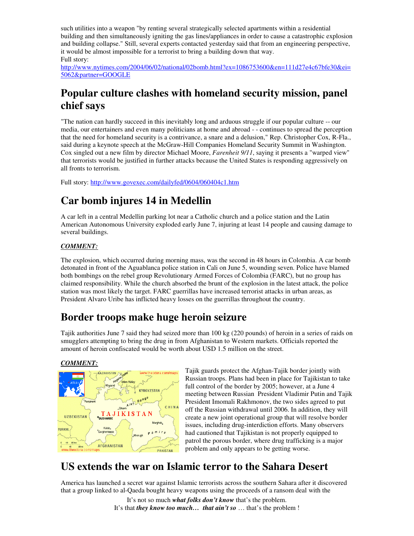such utilities into a weapon "by renting several strategically selected apartments within a residential building and then simultaneously igniting the gas lines/appliances in order to cause a catastrophic explosion and building collapse." Still, several experts contacted yesterday said that from an engineering perspective, it would be almost impossible for a terrorist to bring a building down that way. Full story:

http://www.nytimes.com/2004/06/02/national/02bomb.html?ex=1086753600&en=111d27e4c67bfe30&ei= 5062&partner=GOOGLE

## **Popular culture clashes with homeland security mission, panel chief says**

"The nation can hardly succeed in this inevitably long and arduous struggle if our popular culture -- our media, our entertainers and even many politicians at home and abroad - - continues to spread the perception that the need for homeland security is a contrivance, a snare and a delusion," Rep. Christopher Cox, R-Fla., said during a keynote speech at the McGraw-Hill Companies Homeland Security Summit in Washington. Cox singled out a new film by director Michael Moore, *Farenheit 9/11*, saying it presents a "warped view" that terrorists would be justified in further attacks because the United States is responding aggressively on all fronts to terrorism.

Full story: http://www.govexec.com/dailyfed/0604/060404c1.htm

## **Car bomb injures 14 in Medellin**

A car left in a central Medellin parking lot near a Catholic church and a police station and the Latin American Autonomous University exploded early June 7, injuring at least 14 people and causing damage to several buildings.

#### *COMMENT:*

The explosion, which occurred during morning mass, was the second in 48 hours in Colombia. A car bomb detonated in front of the Aguablanca police station in Cali on June 5, wounding seven. Police have blamed both bombings on the rebel group Revolutionary Armed Forces of Colombia (FARC), but no group has claimed responsibility. While the church absorbed the brunt of the explosion in the latest attack, the police station was most likely the target. FARC guerrillas have increased terrorist attacks in urban areas, as President Alvaro Uribe has inflicted heavy losses on the guerrillas throughout the country.

## **Border troops make huge heroin seizure**

Tajik authorities June 7 said they had seized more than 100 kg (220 pounds) of heroin in a series of raids on smugglers attempting to bring the drug in from Afghanistan to Western markets. Officials reported the amount of heroin confiscated would be worth about USD 1.5 million on the street.

#### *COMMENT:*



Tajik guards protect the Afghan-Tajik border jointly with Russian troops. Plans had been in place for Tajikistan to take full control of the border by 2005; however, at a June 4 meeting between Russian President Vladimir Putin and Tajik President Imomali Rakhmonov, the two sides agreed to put off the Russian withdrawal until 2006. In addition, they will create a new joint operational group that will resolve border issues, including drug-interdiction efforts. Many observers had cautioned that Tajikistan is not properly equipped to patrol the porous border, where drug trafficking is a major problem and only appears to be getting worse.

## **US extends the war on Islamic terror to the Sahara Desert**

America has launched a secret war against Islamic terrorists across the southern Sahara after it discovered that a group linked to al-Qaeda bought heavy weapons using the proceeds of a ransom deal with the

> It's not so much *what folks don't know* that's the problem. It's that *they know too much… that ain't so* … that's the problem !